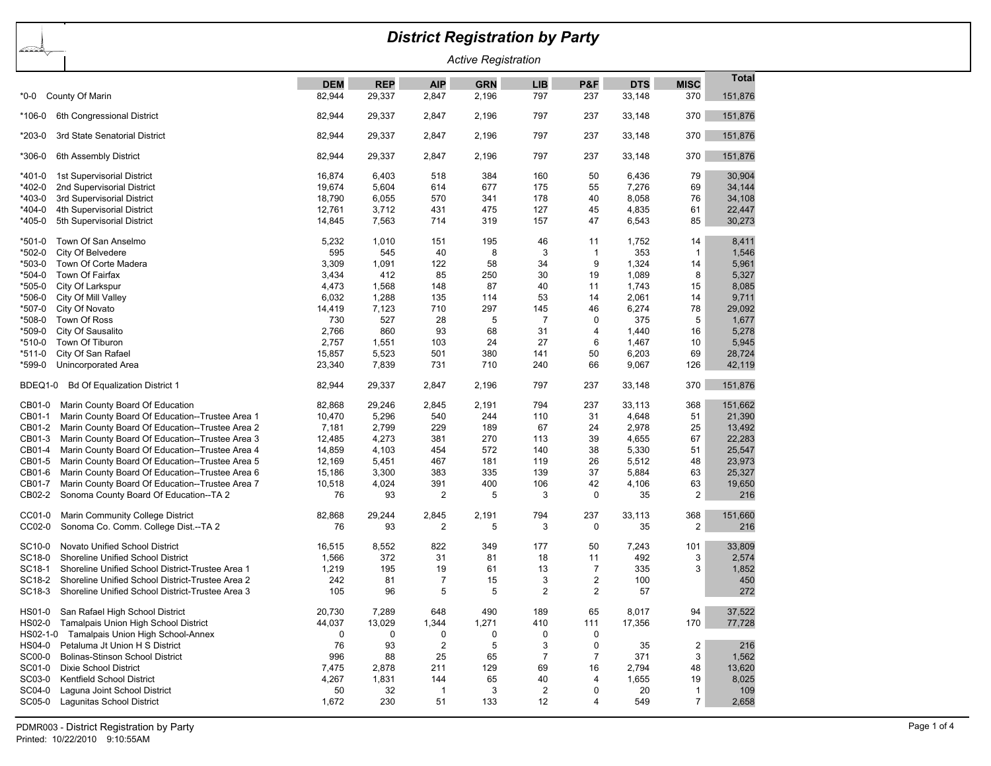## *District Registration by Party*

*Active Registration*

|                                                                                                               | <b>DEM</b>       | <b>REP</b>     | <b>AIP</b>            | <b>GRN</b>  | <b>LIB</b>     | P&F            | <b>DTS</b>     | <b>MISC</b>             | <b>Total</b>   |
|---------------------------------------------------------------------------------------------------------------|------------------|----------------|-----------------------|-------------|----------------|----------------|----------------|-------------------------|----------------|
| County Of Marin<br>$*0-0$                                                                                     | 82,944           | 29,337         | 2,847                 | 2,196       | 797            | 237            | 33,148         | 370                     | 151,876        |
| $*106-0$<br>6th Congressional District                                                                        | 82,944           | 29,337         | 2,847                 | 2,196       | 797            | 237            | 33,148         | 370                     | 151,876        |
| $*203-0$<br>3rd State Senatorial District                                                                     | 82,944           | 29,337         | 2,847                 | 2,196       | 797            | 237            | 33,148         | 370                     | 151,876        |
| *306-0<br>6th Assembly District                                                                               | 82,944           | 29,337         | 2,847                 | 2,196       | 797            | 237            | 33,148         | 370                     | 151,876        |
| $*401-0$<br>1st Supervisorial District                                                                        | 16,874           | 6,403          | 518                   | 384         | 160            | 50             | 6,436          | 79                      | 30,904         |
| *402-0<br>2nd Supervisorial District                                                                          | 19,674           | 5,604          | 614                   | 677         | 175            | 55             | 7,276          | 69                      | 34,144         |
| $*403-0$<br>3rd Supervisorial District                                                                        | 18,790           | 6,055          | 570                   | 341         | 178            | 40             | 8,058          | 76                      | 34,108         |
| $*404-0$<br>4th Supervisorial District                                                                        | 12,761           | 3,712          | 431                   | 475         | 127            | 45             | 4,835          | 61                      | 22,447         |
| $*405-0$<br>5th Supervisorial District                                                                        | 14,845           | 7,563          | 714                   | 319         | 157            | 47             | 6,543          | 85                      | 30,273         |
| $*501-0$<br>Town Of San Anselmo                                                                               | 5,232            | 1,010          | 151                   | 195         | 46             | 11             | 1,752          | 14                      | 8,411          |
| $*502-0$<br>City Of Belvedere                                                                                 | 595              | 545            | 40                    | 8           | 3              | $\mathbf{1}$   | 353            | $\mathbf{1}$            | 1,546          |
| $*503-0$<br>Town Of Corte Madera                                                                              | 3,309            | 1,091          | 122                   | 58          | 34             | 9              | 1,324          | 14                      | 5,961          |
| $*504-0$<br>Town Of Fairfax                                                                                   | 3,434            | 412            | 85                    | 250         | 30             | 19             | 1,089          | 8                       | 5,327          |
| $*505-0$<br>City Of Larkspur                                                                                  | 4,473            | 1,568          | 148                   | 87          | 40             | 11             | 1,743          | 15                      | 8,085          |
| *506-0<br>City Of Mill Valley                                                                                 | 6,032            | 1,288          | 135                   | 114         | 53             | 14             | 2,061          | 14                      | 9,711          |
| *507-0<br>City Of Novato                                                                                      | 14,419           | 7,123          | 710                   | 297         | 145            | 46             | 6,274          | 78                      | 29,092         |
| *508-0<br>Town Of Ross                                                                                        | 730              | 527            | 28                    | 5           | $\overline{7}$ | $\mathbf 0$    | 375            | 5                       | 1,677          |
| $*509-0$<br>City Of Sausalito<br>$*510-0$                                                                     | 2,766            | 860            | 93<br>103             | 68          | 31<br>27       | 4<br>6         | 1.440          | 16<br>10                | 5,278<br>5.945 |
| Town Of Tiburon<br>$*511-0$                                                                                   | 2,757            | 1,551<br>5,523 | 501                   | 24<br>380   | 141            | 50             | 1,467<br>6,203 | 69                      | 28,724         |
| City Of San Rafael<br>*599-0<br>Unincorporated Area                                                           | 15,857<br>23,340 | 7,839          | 731                   | 710         | 240            | 66             | 9,067          | 126                     | 42,119         |
|                                                                                                               |                  |                |                       |             |                |                |                |                         |                |
| BDEQ1-0<br><b>Bd Of Equalization District 1</b>                                                               | 82,944           | 29,337         | 2,847                 | 2,196       | 797            | 237            | 33,148         | 370                     | 151,876        |
| CB01-0<br>Marin County Board Of Education                                                                     | 82,868           | 29,246         | 2,845                 | 2,191       | 794            | 237            | 33,113         | 368                     | 151,662        |
| CB01-1<br>Marin County Board Of Education--Trustee Area 1                                                     | 10,470           | 5,296          | 540                   | 244         | 110            | 31             | 4,648          | 51                      | 21,390         |
| CB01-2<br>Marin County Board Of Education--Trustee Area 2                                                     | 7,181            | 2,799          | 229                   | 189         | 67             | 24             | 2,978          | 25                      | 13,492         |
| CB01-3<br>Marin County Board Of Education--Trustee Area 3                                                     | 12,485           | 4,273          | 381                   | 270         | 113            | 39             | 4,655          | 67                      | 22,283         |
| CB01-4<br>Marin County Board Of Education--Trustee Area 4                                                     | 14,859           | 4,103          | 454                   | 572         | 140            | 38             | 5,330          | 51                      | 25,547         |
| CB01-5<br>Marin County Board Of Education--Trustee Area 5                                                     | 12,169           | 5,451          | 467                   | 181         | 119            | 26             | 5,512          | 48                      | 23,973         |
| CB01-6<br>Marin County Board Of Education--Trustee Area 6                                                     | 15,186           | 3,300          | 383                   | 335         | 139            | 37             | 5,884          | 63                      | 25,327         |
| CB01-7<br>Marin County Board Of Education--Trustee Area 7<br>CB02-2<br>Sonoma County Board Of Education--TA 2 | 10,518<br>76     | 4,024<br>93    | 391<br>$\overline{2}$ | 400<br>5    | 106<br>3       | 42<br>0        | 4,106<br>35    | 63<br>$\overline{2}$    | 19,650<br>216  |
|                                                                                                               |                  |                |                       |             |                |                |                |                         |                |
| CC01-0<br>Marin Community College District                                                                    | 82,868           | 29,244         | 2,845                 | 2,191       | 794            | 237            | 33,113         | 368                     | 151,660        |
| CC02-0<br>Sonoma Co. Comm. College Dist.--TA 2                                                                | 76               | 93             | 2                     | 5           | 3              | 0              | 35             | $\overline{2}$          | 216            |
| SC10-0<br>Novato Unified School District                                                                      | 16,515           | 8,552          | 822                   | 349         | 177            | 50             | 7,243          | 101                     | 33,809         |
| SC18-0<br>Shoreline Unified School District                                                                   | 1,566            | 372            | 31                    | 81          | 18             | 11             | 492            | 3                       | 2,574          |
| SC18-1<br>Shoreline Unified School District-Trustee Area 1                                                    | 1,219            | 195            | 19                    | 61          | 13             | $\overline{7}$ | 335            | 3                       | 1,852          |
| SC18-2<br>Shoreline Unified School District-Trustee Area 2                                                    | 242              | 81             | $\overline{7}$        | 15          | 3              | $\overline{2}$ | 100            |                         | 450            |
| SC18-3<br>Shoreline Unified School District-Trustee Area 3                                                    | 105              | 96             | 5                     | 5           | $\overline{2}$ | $\overline{2}$ | 57             |                         | 272            |
| <b>HS01-0</b><br>San Rafael High School District                                                              | 20,730           | 7,289          | 648                   | 490         | 189            | 65             | 8,017          | 94                      | 37,522         |
| HS02-0<br>Tamalpais Union High School District                                                                | 44,037           | 13,029         | 1,344                 | 1,271       | 410            | 111            | 17,356         | 170                     | 77,728         |
| HS02-1-0 Tamalpais Union High School-Annex                                                                    | $\mathbf 0$      | $\mathbf 0$    | 0                     | $\mathbf 0$ | 0              | 0              |                |                         |                |
| HS04-0<br>Petaluma Jt Union H S District                                                                      | 76               | 93             | $\overline{2}$        | 5           | 3              | 0              | 35             | $\overline{\mathbf{c}}$ | 216            |
| <b>SC00-0</b><br>Bolinas-Stinson School District                                                              | 996              | 88             | 25                    | 65          | $\overline{7}$ | $\overline{7}$ | 371            | 3                       | 1,562          |
| SC01-0<br>Dixie School District                                                                               | 7,475            | 2,878          | 211                   | 129         | 69             | 16             | 2,794          | 48                      | 13,620         |
| SC03-0<br>Kentfield School District                                                                           | 4,267            | 1,831          | 144                   | 65          | 40             | 4              | 1,655          | 19                      | 8,025          |
| SC04-0<br>Laguna Joint School District                                                                        | 50               | 32             | 1                     | 3           | $\overline{2}$ | 0              | 20             | $\mathbf{1}$            | 109            |
| SC05-0<br>Lagunitas School District                                                                           | 1,672            | 230            | 51                    | 133         | 12             | 4              | 549            | $\overline{7}$          | 2,658          |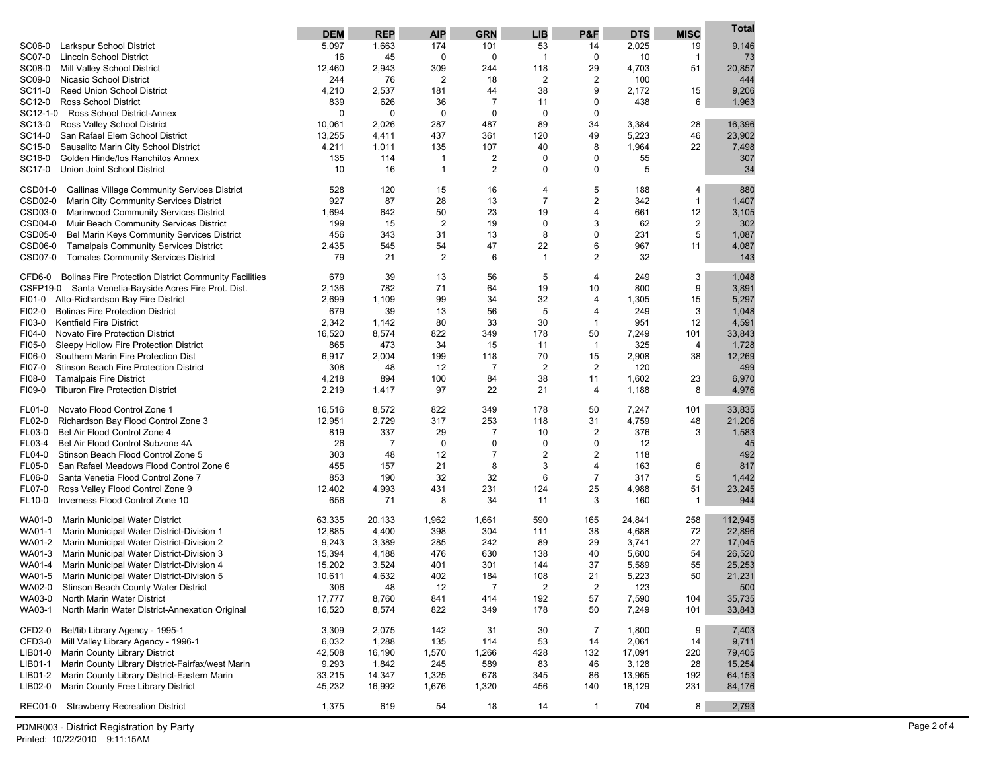| SC06-0<br>5,097<br>1,663<br>174<br>101<br>53<br>2,025<br>9,146<br>Larkspur School District<br>14<br>19<br>SC07-0<br><b>Lincoln School District</b><br>16<br>45<br>0<br>$\mathbf 0$<br>$\overline{1}$<br>0<br>10<br>$\mathbf{1}$<br>73<br>SC08-0<br>12,460<br>2,943<br>309<br>244<br>118<br>29<br>4,703<br>51<br>20,857<br>Mill Valley School District<br>SC09-0<br>244<br>76<br>$\overline{2}$<br>$\overline{2}$<br>2<br>100<br>444<br>Nicasio School District<br>18<br>38<br>SC11-0<br><b>Reed Union School District</b><br>4,210<br>2,537<br>181<br>9<br>2,172<br>15<br>9,206<br>44<br>1,963<br>SC12-0<br><b>Ross School District</b><br>839<br>626<br>36<br>$\overline{7}$<br>11<br>0<br>438<br>6<br>SC12-1-0<br>Ross School District-Annex<br>$\mathbf 0$<br>$\mathbf 0$<br>0<br>$\mathbf 0$<br>0<br>0<br>89<br>SC13-0<br>10,061<br>2,026<br>287<br>487<br>34<br>3,384<br>28<br>16,396<br>Ross Valley School District<br>SC14-0<br>13,255<br>4,411<br>437<br>361<br>120<br>49<br>5,223<br>46<br>23,902<br>San Rafael Elem School District<br>SC15-0<br>4,211<br>1,011<br>135<br>107<br>40<br>8<br>1,964<br>22<br>7,498<br>Sausalito Marin City School District<br>SC16-0<br>135<br>114<br>$\mathbf{1}$<br>2<br>0<br>0<br>55<br>307<br>Golden Hinde/los Ranchitos Annex<br>34<br>SC17-0<br>10<br>16<br>$\mathbf{1}$<br>2<br>0<br>0<br>5<br>Union Joint School District<br>5<br>880<br>CSD01-0<br><b>Gallinas Village Community Services District</b><br>528<br>120<br>15<br>16<br>4<br>188<br>4<br>$\overline{7}$<br>$\overline{2}$<br>$\mathbf{1}$<br>CSD02-0<br>927<br>87<br>28<br>342<br>1,407<br>Marin City Community Services District<br>13<br>50<br>23<br>19<br>661<br>12<br>3,105<br>CSD03-0<br><b>Marinwood Community Services District</b><br>1,694<br>642<br>4<br>$\boldsymbol{2}$<br>$\overline{2}$<br>302<br>CSD04-0<br>15<br>19<br>0<br>3<br>62<br>Muir Beach Community Services District<br>199<br>8<br>5<br>1,087<br>CSD05-0<br>456<br>31<br>231<br>Bel Marin Keys Community Services District<br>343<br>13<br>0<br>967<br>CSD06-0<br><b>Tamalpais Community Services District</b><br>545<br>54<br>47<br>22<br>6<br>11<br>4,087<br>2,435<br>CSD07-0<br><b>Tomales Community Services District</b><br>21<br>$\overline{2}$<br>6<br>$\mathbf{1}$<br>2<br>32<br>143<br>79<br>3<br><b>Bolinas Fire Protection District Community Facilities</b><br>679<br>39<br>5<br>4<br>249<br>1,048<br>CFD6-0<br>13<br>56<br>71<br>9<br>CSFP19-0 Santa Venetia-Bayside Acres Fire Prot. Dist.<br>782<br>64<br>19<br>10<br>800<br>3,891<br>2,136<br>99<br>32<br>Alto-Richardson Bay Fire District<br>2,699<br>1,109<br>34<br>1,305<br>15<br>5,297<br>FI01-0<br>4<br>5<br>3<br>FI02-0<br><b>Bolinas Fire Protection District</b><br>679<br>39<br>13<br>56<br>249<br>1,048<br>4<br>30<br>4,591<br>FI03-0<br><b>Kentfield Fire District</b><br>2,342<br>80<br>33<br>951<br>12<br>1,142<br>$\mathbf{1}$<br>FI04-0<br>8,574<br>822<br>178<br>50<br>7,249<br>101<br>33,843<br>Novato Fire Protection District<br>16,520<br>349<br>473<br>325<br>FI05-0<br>865<br>34<br>15<br>11<br>$\mathbf{1}$<br>4<br>1,728<br>Sleepy Hollow Fire Protection District<br>12,269<br>6,917<br>2,004<br>199<br>118<br>70<br>15<br>2,908<br>38<br>FI06-0<br>Southern Marin Fire Protection Dist<br>$\overline{7}$<br>$\overline{c}$<br>2<br>120<br>499<br>FI07-0<br>308<br>48<br>12<br>Stinson Beach Fire Protection District<br>38<br>6,970<br>FI08-0<br><b>Tamalpais Fire District</b><br>894<br>100<br>84<br>1,602<br>23<br>4,218<br>11<br>4,976<br>FI09-0<br><b>Tiburon Fire Protection District</b><br>2,219<br>1,417<br>97<br>22<br>21<br>1,188<br>8<br>4<br>Novato Flood Control Zone 1<br>822<br>349<br>178<br>7,247<br>101<br>33,835<br>FL01-0<br>16,516<br>8,572<br>50<br>FL02-0<br>12,951<br>2,729<br>317<br>253<br>118<br>31<br>4,759<br>48<br>21,206<br>Richardson Bay Flood Control Zone 3<br>1,583<br>FL03-0<br>Bel Air Flood Control Zone 4<br>819<br>337<br>29<br>$\overline{7}$<br>10<br>2<br>376<br>3<br>FL03-4<br>Bel Air Flood Control Subzone 4A<br>26<br>$\overline{7}$<br>0<br>0<br>0<br>0<br>12<br>45<br>$\overline{2}$<br>FL04-0<br>Stinson Beach Flood Control Zone 5<br>303<br>48<br>12<br>$\overline{7}$<br>2<br>118<br>492<br>21<br>3<br>FL05-0<br>San Rafael Meadows Flood Control Zone 6<br>455<br>157<br>8<br>4<br>163<br>817<br>6<br>1,442<br>FL06-0<br>Santa Venetia Flood Control Zone 7<br>853<br>190<br>32<br>32<br>6<br>$\overline{7}$<br>317<br>5<br>FL07-0<br>12,402<br>4,993<br>431<br>231<br>124<br>25<br>4,988<br>51<br>23,245<br>Ross Valley Flood Control Zone 9<br>944<br>FL10-0<br>Inverness Flood Control Zone 10<br>656<br>71<br>8<br>34<br>3<br>160<br>$\mathbf{1}$<br>11<br>590<br>24,841<br>258<br>112,945<br>WA01-0<br>Marin Municipal Water District<br>63,335<br>20,133<br>1,962<br>1,661<br>165<br>WA01-1<br>4,400<br>398<br>304<br>38<br>4,688<br>72<br>22,896<br>Marin Municipal Water District-Division 1<br>12,885<br>111<br>3,389<br>27<br>WA01-2<br>Marin Municipal Water District-Division 2<br>9,243<br>285<br>242<br>89<br>29<br>3,741<br>17,045<br>WA01-3<br>15,394<br>4,188<br>26,520<br>Marin Municipal Water District-Division 3<br>476<br>630<br>138<br>40<br>5,600<br>54<br>WA01-4<br>3,524<br>55<br>25,253<br>Marin Municipal Water District-Division 4<br>15,202<br>401<br>301<br>144<br>37<br>5,589<br>4,632<br>108<br>21<br>5,223<br>50<br>21,231<br>WA01-5<br>Marin Municipal Water District-Division 5<br>10,611<br>402<br>184<br>WA02-0<br><b>Stinson Beach County Water District</b><br>306<br>48<br>12<br>7<br>2<br>2<br>123<br>500<br>WA03-0<br>17,777<br>8,760<br>841<br>414<br>192<br>57<br>7,590<br>104<br>35,735<br>North Marin Water District<br>WA03-1<br>North Marin Water District-Annexation Original<br>16,520<br>822<br>50<br>7,249<br>101<br>33,843<br>8,574<br>349<br>178<br>$\overline{7}$<br>9<br>CFD2-0<br>Bel/tib Library Agency - 1995-1<br>3,309<br>2,075<br>142<br>31<br>30<br>1,800<br>7,403<br>CFD3-0<br>Mill Valley Library Agency - 1996-1<br>6,032<br>1,288<br>135<br>114<br>53<br>14<br>2,061<br>14<br>9,711<br>LIB01-0<br>Marin County Library District<br>42,508<br>16,190<br>1,570<br>428<br>17,091<br>79,405<br>1,266<br>132<br>220<br>Marin County Library District-Fairfax/west Marin<br>LIB01-1<br>9,293<br>1,842<br>245<br>589<br>3,128<br>28<br>15,254<br>83<br>46<br>Marin County Library District-Eastern Marin<br>LIB01-2<br>33,215<br>14,347<br>678<br>345<br>13,965<br>64,153<br>1,325<br>86<br>192<br>LIB02-0<br>Marin County Free Library District<br>45,232<br>18,129<br>231<br>84,176<br>16,992<br>1,676<br>1,320<br>456<br>140<br>2,793<br><b>REC01-0</b><br><b>Strawberry Recreation District</b><br>1,375<br>619<br>54<br>18<br>14<br>$\mathbf{1}$<br>704<br>8 | <b>DEM</b> | <b>REP</b> | <b>AIP</b> | <b>GRN</b> | <b>LIB</b> | P&F | <b>DTS</b> | <b>MISC</b> | Total |
|--------------------------------------------------------------------------------------------------------------------------------------------------------------------------------------------------------------------------------------------------------------------------------------------------------------------------------------------------------------------------------------------------------------------------------------------------------------------------------------------------------------------------------------------------------------------------------------------------------------------------------------------------------------------------------------------------------------------------------------------------------------------------------------------------------------------------------------------------------------------------------------------------------------------------------------------------------------------------------------------------------------------------------------------------------------------------------------------------------------------------------------------------------------------------------------------------------------------------------------------------------------------------------------------------------------------------------------------------------------------------------------------------------------------------------------------------------------------------------------------------------------------------------------------------------------------------------------------------------------------------------------------------------------------------------------------------------------------------------------------------------------------------------------------------------------------------------------------------------------------------------------------------------------------------------------------------------------------------------------------------------------------------------------------------------------------------------------------------------------------------------------------------------------------------------------------------------------------------------------------------------------------------------------------------------------------------------------------------------------------------------------------------------------------------------------------------------------------------------------------------------------------------------------------------------------------------------------------------------------------------------------------------------------------------------------------------------------------------------------------------------------------------------------------------------------------------------------------------------------------------------------------------------------------------------------------------------------------------------------------------------------------------------------------------------------------------------------------------------------------------------------------------------------------------------------------------------------------------------------------------------------------------------------------------------------------------------------------------------------------------------------------------------------------------------------------------------------------------------------------------------------------------------------------------------------------------------------------------------------------------------------------------------------------------------------------------------------------------------------------------------------------------------------------------------------------------------------------------------------------------------------------------------------------------------------------------------------------------------------------------------------------------------------------------------------------------------------------------------------------------------------------------------------------------------------------------------------------------------------------------------------------------------------------------------------------------------------------------------------------------------------------------------------------------------------------------------------------------------------------------------------------------------------------------------------------------------------------------------------------------------------------------------------------------------------------------------------------------------------------------------------------------------------------------------------------------------------------------------------------------------------------------------------------------------------------------------------------------------------------------------------------------------------------------------------------------------------------------------------------------------------------------------------------------------------------------------------------------------------------------------------------------------------------------------------------------------------------------------------------------------------------------------------------------------------------------------------------------------------------------------------------------------------------------------------------------------------------------------------------------------------------------------------------------------------------------------------------------------------------------------------------------------------------------------------------------------------------------------------------------------------------------------------------------------------------------------------------------------------------------------------------------------------------------------------------------------------------------------------------------------------------------------------------------------------------------------------------------------------------------------------------------------------------------------------------------------------------------------------------------------------------------------------------------------------------------------------------------------------------------------------------------------------------------------------------------------------------------------------------------------------------------------------------------------------------------------------------------------------------------------------------------|------------|------------|------------|------------|------------|-----|------------|-------------|-------|
|                                                                                                                                                                                                                                                                                                                                                                                                                                                                                                                                                                                                                                                                                                                                                                                                                                                                                                                                                                                                                                                                                                                                                                                                                                                                                                                                                                                                                                                                                                                                                                                                                                                                                                                                                                                                                                                                                                                                                                                                                                                                                                                                                                                                                                                                                                                                                                                                                                                                                                                                                                                                                                                                                                                                                                                                                                                                                                                                                                                                                                                                                                                                                                                                                                                                                                                                                                                                                                                                                                                                                                                                                                                                                                                                                                                                                                                                                                                                                                                                                                                                                                                                                                                                                                                                                                                                                                                                                                                                                                                                                                                                                                                                                                                                                                                                                                                                                                                                                                                                                                                                                                                                                                                                                                                                                                                                                                                                                                                                                                                                                                                                                                                                                                                                                                                                                                                                                                                                                                                                                                                                                                                                                                                                                                                                                                                                                                                                                                                                                                                                                                                                                                                                                                                                                                          |            |            |            |            |            |     |            |             |       |
|                                                                                                                                                                                                                                                                                                                                                                                                                                                                                                                                                                                                                                                                                                                                                                                                                                                                                                                                                                                                                                                                                                                                                                                                                                                                                                                                                                                                                                                                                                                                                                                                                                                                                                                                                                                                                                                                                                                                                                                                                                                                                                                                                                                                                                                                                                                                                                                                                                                                                                                                                                                                                                                                                                                                                                                                                                                                                                                                                                                                                                                                                                                                                                                                                                                                                                                                                                                                                                                                                                                                                                                                                                                                                                                                                                                                                                                                                                                                                                                                                                                                                                                                                                                                                                                                                                                                                                                                                                                                                                                                                                                                                                                                                                                                                                                                                                                                                                                                                                                                                                                                                                                                                                                                                                                                                                                                                                                                                                                                                                                                                                                                                                                                                                                                                                                                                                                                                                                                                                                                                                                                                                                                                                                                                                                                                                                                                                                                                                                                                                                                                                                                                                                                                                                                                                          |            |            |            |            |            |     |            |             |       |
|                                                                                                                                                                                                                                                                                                                                                                                                                                                                                                                                                                                                                                                                                                                                                                                                                                                                                                                                                                                                                                                                                                                                                                                                                                                                                                                                                                                                                                                                                                                                                                                                                                                                                                                                                                                                                                                                                                                                                                                                                                                                                                                                                                                                                                                                                                                                                                                                                                                                                                                                                                                                                                                                                                                                                                                                                                                                                                                                                                                                                                                                                                                                                                                                                                                                                                                                                                                                                                                                                                                                                                                                                                                                                                                                                                                                                                                                                                                                                                                                                                                                                                                                                                                                                                                                                                                                                                                                                                                                                                                                                                                                                                                                                                                                                                                                                                                                                                                                                                                                                                                                                                                                                                                                                                                                                                                                                                                                                                                                                                                                                                                                                                                                                                                                                                                                                                                                                                                                                                                                                                                                                                                                                                                                                                                                                                                                                                                                                                                                                                                                                                                                                                                                                                                                                                          |            |            |            |            |            |     |            |             |       |
|                                                                                                                                                                                                                                                                                                                                                                                                                                                                                                                                                                                                                                                                                                                                                                                                                                                                                                                                                                                                                                                                                                                                                                                                                                                                                                                                                                                                                                                                                                                                                                                                                                                                                                                                                                                                                                                                                                                                                                                                                                                                                                                                                                                                                                                                                                                                                                                                                                                                                                                                                                                                                                                                                                                                                                                                                                                                                                                                                                                                                                                                                                                                                                                                                                                                                                                                                                                                                                                                                                                                                                                                                                                                                                                                                                                                                                                                                                                                                                                                                                                                                                                                                                                                                                                                                                                                                                                                                                                                                                                                                                                                                                                                                                                                                                                                                                                                                                                                                                                                                                                                                                                                                                                                                                                                                                                                                                                                                                                                                                                                                                                                                                                                                                                                                                                                                                                                                                                                                                                                                                                                                                                                                                                                                                                                                                                                                                                                                                                                                                                                                                                                                                                                                                                                                                          |            |            |            |            |            |     |            |             |       |
|                                                                                                                                                                                                                                                                                                                                                                                                                                                                                                                                                                                                                                                                                                                                                                                                                                                                                                                                                                                                                                                                                                                                                                                                                                                                                                                                                                                                                                                                                                                                                                                                                                                                                                                                                                                                                                                                                                                                                                                                                                                                                                                                                                                                                                                                                                                                                                                                                                                                                                                                                                                                                                                                                                                                                                                                                                                                                                                                                                                                                                                                                                                                                                                                                                                                                                                                                                                                                                                                                                                                                                                                                                                                                                                                                                                                                                                                                                                                                                                                                                                                                                                                                                                                                                                                                                                                                                                                                                                                                                                                                                                                                                                                                                                                                                                                                                                                                                                                                                                                                                                                                                                                                                                                                                                                                                                                                                                                                                                                                                                                                                                                                                                                                                                                                                                                                                                                                                                                                                                                                                                                                                                                                                                                                                                                                                                                                                                                                                                                                                                                                                                                                                                                                                                                                                          |            |            |            |            |            |     |            |             |       |
|                                                                                                                                                                                                                                                                                                                                                                                                                                                                                                                                                                                                                                                                                                                                                                                                                                                                                                                                                                                                                                                                                                                                                                                                                                                                                                                                                                                                                                                                                                                                                                                                                                                                                                                                                                                                                                                                                                                                                                                                                                                                                                                                                                                                                                                                                                                                                                                                                                                                                                                                                                                                                                                                                                                                                                                                                                                                                                                                                                                                                                                                                                                                                                                                                                                                                                                                                                                                                                                                                                                                                                                                                                                                                                                                                                                                                                                                                                                                                                                                                                                                                                                                                                                                                                                                                                                                                                                                                                                                                                                                                                                                                                                                                                                                                                                                                                                                                                                                                                                                                                                                                                                                                                                                                                                                                                                                                                                                                                                                                                                                                                                                                                                                                                                                                                                                                                                                                                                                                                                                                                                                                                                                                                                                                                                                                                                                                                                                                                                                                                                                                                                                                                                                                                                                                                          |            |            |            |            |            |     |            |             |       |
|                                                                                                                                                                                                                                                                                                                                                                                                                                                                                                                                                                                                                                                                                                                                                                                                                                                                                                                                                                                                                                                                                                                                                                                                                                                                                                                                                                                                                                                                                                                                                                                                                                                                                                                                                                                                                                                                                                                                                                                                                                                                                                                                                                                                                                                                                                                                                                                                                                                                                                                                                                                                                                                                                                                                                                                                                                                                                                                                                                                                                                                                                                                                                                                                                                                                                                                                                                                                                                                                                                                                                                                                                                                                                                                                                                                                                                                                                                                                                                                                                                                                                                                                                                                                                                                                                                                                                                                                                                                                                                                                                                                                                                                                                                                                                                                                                                                                                                                                                                                                                                                                                                                                                                                                                                                                                                                                                                                                                                                                                                                                                                                                                                                                                                                                                                                                                                                                                                                                                                                                                                                                                                                                                                                                                                                                                                                                                                                                                                                                                                                                                                                                                                                                                                                                                                          |            |            |            |            |            |     |            |             |       |
|                                                                                                                                                                                                                                                                                                                                                                                                                                                                                                                                                                                                                                                                                                                                                                                                                                                                                                                                                                                                                                                                                                                                                                                                                                                                                                                                                                                                                                                                                                                                                                                                                                                                                                                                                                                                                                                                                                                                                                                                                                                                                                                                                                                                                                                                                                                                                                                                                                                                                                                                                                                                                                                                                                                                                                                                                                                                                                                                                                                                                                                                                                                                                                                                                                                                                                                                                                                                                                                                                                                                                                                                                                                                                                                                                                                                                                                                                                                                                                                                                                                                                                                                                                                                                                                                                                                                                                                                                                                                                                                                                                                                                                                                                                                                                                                                                                                                                                                                                                                                                                                                                                                                                                                                                                                                                                                                                                                                                                                                                                                                                                                                                                                                                                                                                                                                                                                                                                                                                                                                                                                                                                                                                                                                                                                                                                                                                                                                                                                                                                                                                                                                                                                                                                                                                                          |            |            |            |            |            |     |            |             |       |
|                                                                                                                                                                                                                                                                                                                                                                                                                                                                                                                                                                                                                                                                                                                                                                                                                                                                                                                                                                                                                                                                                                                                                                                                                                                                                                                                                                                                                                                                                                                                                                                                                                                                                                                                                                                                                                                                                                                                                                                                                                                                                                                                                                                                                                                                                                                                                                                                                                                                                                                                                                                                                                                                                                                                                                                                                                                                                                                                                                                                                                                                                                                                                                                                                                                                                                                                                                                                                                                                                                                                                                                                                                                                                                                                                                                                                                                                                                                                                                                                                                                                                                                                                                                                                                                                                                                                                                                                                                                                                                                                                                                                                                                                                                                                                                                                                                                                                                                                                                                                                                                                                                                                                                                                                                                                                                                                                                                                                                                                                                                                                                                                                                                                                                                                                                                                                                                                                                                                                                                                                                                                                                                                                                                                                                                                                                                                                                                                                                                                                                                                                                                                                                                                                                                                                                          |            |            |            |            |            |     |            |             |       |
|                                                                                                                                                                                                                                                                                                                                                                                                                                                                                                                                                                                                                                                                                                                                                                                                                                                                                                                                                                                                                                                                                                                                                                                                                                                                                                                                                                                                                                                                                                                                                                                                                                                                                                                                                                                                                                                                                                                                                                                                                                                                                                                                                                                                                                                                                                                                                                                                                                                                                                                                                                                                                                                                                                                                                                                                                                                                                                                                                                                                                                                                                                                                                                                                                                                                                                                                                                                                                                                                                                                                                                                                                                                                                                                                                                                                                                                                                                                                                                                                                                                                                                                                                                                                                                                                                                                                                                                                                                                                                                                                                                                                                                                                                                                                                                                                                                                                                                                                                                                                                                                                                                                                                                                                                                                                                                                                                                                                                                                                                                                                                                                                                                                                                                                                                                                                                                                                                                                                                                                                                                                                                                                                                                                                                                                                                                                                                                                                                                                                                                                                                                                                                                                                                                                                                                          |            |            |            |            |            |     |            |             |       |
|                                                                                                                                                                                                                                                                                                                                                                                                                                                                                                                                                                                                                                                                                                                                                                                                                                                                                                                                                                                                                                                                                                                                                                                                                                                                                                                                                                                                                                                                                                                                                                                                                                                                                                                                                                                                                                                                                                                                                                                                                                                                                                                                                                                                                                                                                                                                                                                                                                                                                                                                                                                                                                                                                                                                                                                                                                                                                                                                                                                                                                                                                                                                                                                                                                                                                                                                                                                                                                                                                                                                                                                                                                                                                                                                                                                                                                                                                                                                                                                                                                                                                                                                                                                                                                                                                                                                                                                                                                                                                                                                                                                                                                                                                                                                                                                                                                                                                                                                                                                                                                                                                                                                                                                                                                                                                                                                                                                                                                                                                                                                                                                                                                                                                                                                                                                                                                                                                                                                                                                                                                                                                                                                                                                                                                                                                                                                                                                                                                                                                                                                                                                                                                                                                                                                                                          |            |            |            |            |            |     |            |             |       |
|                                                                                                                                                                                                                                                                                                                                                                                                                                                                                                                                                                                                                                                                                                                                                                                                                                                                                                                                                                                                                                                                                                                                                                                                                                                                                                                                                                                                                                                                                                                                                                                                                                                                                                                                                                                                                                                                                                                                                                                                                                                                                                                                                                                                                                                                                                                                                                                                                                                                                                                                                                                                                                                                                                                                                                                                                                                                                                                                                                                                                                                                                                                                                                                                                                                                                                                                                                                                                                                                                                                                                                                                                                                                                                                                                                                                                                                                                                                                                                                                                                                                                                                                                                                                                                                                                                                                                                                                                                                                                                                                                                                                                                                                                                                                                                                                                                                                                                                                                                                                                                                                                                                                                                                                                                                                                                                                                                                                                                                                                                                                                                                                                                                                                                                                                                                                                                                                                                                                                                                                                                                                                                                                                                                                                                                                                                                                                                                                                                                                                                                                                                                                                                                                                                                                                                          |            |            |            |            |            |     |            |             |       |
|                                                                                                                                                                                                                                                                                                                                                                                                                                                                                                                                                                                                                                                                                                                                                                                                                                                                                                                                                                                                                                                                                                                                                                                                                                                                                                                                                                                                                                                                                                                                                                                                                                                                                                                                                                                                                                                                                                                                                                                                                                                                                                                                                                                                                                                                                                                                                                                                                                                                                                                                                                                                                                                                                                                                                                                                                                                                                                                                                                                                                                                                                                                                                                                                                                                                                                                                                                                                                                                                                                                                                                                                                                                                                                                                                                                                                                                                                                                                                                                                                                                                                                                                                                                                                                                                                                                                                                                                                                                                                                                                                                                                                                                                                                                                                                                                                                                                                                                                                                                                                                                                                                                                                                                                                                                                                                                                                                                                                                                                                                                                                                                                                                                                                                                                                                                                                                                                                                                                                                                                                                                                                                                                                                                                                                                                                                                                                                                                                                                                                                                                                                                                                                                                                                                                                                          |            |            |            |            |            |     |            |             |       |
|                                                                                                                                                                                                                                                                                                                                                                                                                                                                                                                                                                                                                                                                                                                                                                                                                                                                                                                                                                                                                                                                                                                                                                                                                                                                                                                                                                                                                                                                                                                                                                                                                                                                                                                                                                                                                                                                                                                                                                                                                                                                                                                                                                                                                                                                                                                                                                                                                                                                                                                                                                                                                                                                                                                                                                                                                                                                                                                                                                                                                                                                                                                                                                                                                                                                                                                                                                                                                                                                                                                                                                                                                                                                                                                                                                                                                                                                                                                                                                                                                                                                                                                                                                                                                                                                                                                                                                                                                                                                                                                                                                                                                                                                                                                                                                                                                                                                                                                                                                                                                                                                                                                                                                                                                                                                                                                                                                                                                                                                                                                                                                                                                                                                                                                                                                                                                                                                                                                                                                                                                                                                                                                                                                                                                                                                                                                                                                                                                                                                                                                                                                                                                                                                                                                                                                          |            |            |            |            |            |     |            |             |       |
|                                                                                                                                                                                                                                                                                                                                                                                                                                                                                                                                                                                                                                                                                                                                                                                                                                                                                                                                                                                                                                                                                                                                                                                                                                                                                                                                                                                                                                                                                                                                                                                                                                                                                                                                                                                                                                                                                                                                                                                                                                                                                                                                                                                                                                                                                                                                                                                                                                                                                                                                                                                                                                                                                                                                                                                                                                                                                                                                                                                                                                                                                                                                                                                                                                                                                                                                                                                                                                                                                                                                                                                                                                                                                                                                                                                                                                                                                                                                                                                                                                                                                                                                                                                                                                                                                                                                                                                                                                                                                                                                                                                                                                                                                                                                                                                                                                                                                                                                                                                                                                                                                                                                                                                                                                                                                                                                                                                                                                                                                                                                                                                                                                                                                                                                                                                                                                                                                                                                                                                                                                                                                                                                                                                                                                                                                                                                                                                                                                                                                                                                                                                                                                                                                                                                                                          |            |            |            |            |            |     |            |             |       |
|                                                                                                                                                                                                                                                                                                                                                                                                                                                                                                                                                                                                                                                                                                                                                                                                                                                                                                                                                                                                                                                                                                                                                                                                                                                                                                                                                                                                                                                                                                                                                                                                                                                                                                                                                                                                                                                                                                                                                                                                                                                                                                                                                                                                                                                                                                                                                                                                                                                                                                                                                                                                                                                                                                                                                                                                                                                                                                                                                                                                                                                                                                                                                                                                                                                                                                                                                                                                                                                                                                                                                                                                                                                                                                                                                                                                                                                                                                                                                                                                                                                                                                                                                                                                                                                                                                                                                                                                                                                                                                                                                                                                                                                                                                                                                                                                                                                                                                                                                                                                                                                                                                                                                                                                                                                                                                                                                                                                                                                                                                                                                                                                                                                                                                                                                                                                                                                                                                                                                                                                                                                                                                                                                                                                                                                                                                                                                                                                                                                                                                                                                                                                                                                                                                                                                                          |            |            |            |            |            |     |            |             |       |
|                                                                                                                                                                                                                                                                                                                                                                                                                                                                                                                                                                                                                                                                                                                                                                                                                                                                                                                                                                                                                                                                                                                                                                                                                                                                                                                                                                                                                                                                                                                                                                                                                                                                                                                                                                                                                                                                                                                                                                                                                                                                                                                                                                                                                                                                                                                                                                                                                                                                                                                                                                                                                                                                                                                                                                                                                                                                                                                                                                                                                                                                                                                                                                                                                                                                                                                                                                                                                                                                                                                                                                                                                                                                                                                                                                                                                                                                                                                                                                                                                                                                                                                                                                                                                                                                                                                                                                                                                                                                                                                                                                                                                                                                                                                                                                                                                                                                                                                                                                                                                                                                                                                                                                                                                                                                                                                                                                                                                                                                                                                                                                                                                                                                                                                                                                                                                                                                                                                                                                                                                                                                                                                                                                                                                                                                                                                                                                                                                                                                                                                                                                                                                                                                                                                                                                          |            |            |            |            |            |     |            |             |       |
|                                                                                                                                                                                                                                                                                                                                                                                                                                                                                                                                                                                                                                                                                                                                                                                                                                                                                                                                                                                                                                                                                                                                                                                                                                                                                                                                                                                                                                                                                                                                                                                                                                                                                                                                                                                                                                                                                                                                                                                                                                                                                                                                                                                                                                                                                                                                                                                                                                                                                                                                                                                                                                                                                                                                                                                                                                                                                                                                                                                                                                                                                                                                                                                                                                                                                                                                                                                                                                                                                                                                                                                                                                                                                                                                                                                                                                                                                                                                                                                                                                                                                                                                                                                                                                                                                                                                                                                                                                                                                                                                                                                                                                                                                                                                                                                                                                                                                                                                                                                                                                                                                                                                                                                                                                                                                                                                                                                                                                                                                                                                                                                                                                                                                                                                                                                                                                                                                                                                                                                                                                                                                                                                                                                                                                                                                                                                                                                                                                                                                                                                                                                                                                                                                                                                                                          |            |            |            |            |            |     |            |             |       |
|                                                                                                                                                                                                                                                                                                                                                                                                                                                                                                                                                                                                                                                                                                                                                                                                                                                                                                                                                                                                                                                                                                                                                                                                                                                                                                                                                                                                                                                                                                                                                                                                                                                                                                                                                                                                                                                                                                                                                                                                                                                                                                                                                                                                                                                                                                                                                                                                                                                                                                                                                                                                                                                                                                                                                                                                                                                                                                                                                                                                                                                                                                                                                                                                                                                                                                                                                                                                                                                                                                                                                                                                                                                                                                                                                                                                                                                                                                                                                                                                                                                                                                                                                                                                                                                                                                                                                                                                                                                                                                                                                                                                                                                                                                                                                                                                                                                                                                                                                                                                                                                                                                                                                                                                                                                                                                                                                                                                                                                                                                                                                                                                                                                                                                                                                                                                                                                                                                                                                                                                                                                                                                                                                                                                                                                                                                                                                                                                                                                                                                                                                                                                                                                                                                                                                                          |            |            |            |            |            |     |            |             |       |
|                                                                                                                                                                                                                                                                                                                                                                                                                                                                                                                                                                                                                                                                                                                                                                                                                                                                                                                                                                                                                                                                                                                                                                                                                                                                                                                                                                                                                                                                                                                                                                                                                                                                                                                                                                                                                                                                                                                                                                                                                                                                                                                                                                                                                                                                                                                                                                                                                                                                                                                                                                                                                                                                                                                                                                                                                                                                                                                                                                                                                                                                                                                                                                                                                                                                                                                                                                                                                                                                                                                                                                                                                                                                                                                                                                                                                                                                                                                                                                                                                                                                                                                                                                                                                                                                                                                                                                                                                                                                                                                                                                                                                                                                                                                                                                                                                                                                                                                                                                                                                                                                                                                                                                                                                                                                                                                                                                                                                                                                                                                                                                                                                                                                                                                                                                                                                                                                                                                                                                                                                                                                                                                                                                                                                                                                                                                                                                                                                                                                                                                                                                                                                                                                                                                                                                          |            |            |            |            |            |     |            |             |       |
|                                                                                                                                                                                                                                                                                                                                                                                                                                                                                                                                                                                                                                                                                                                                                                                                                                                                                                                                                                                                                                                                                                                                                                                                                                                                                                                                                                                                                                                                                                                                                                                                                                                                                                                                                                                                                                                                                                                                                                                                                                                                                                                                                                                                                                                                                                                                                                                                                                                                                                                                                                                                                                                                                                                                                                                                                                                                                                                                                                                                                                                                                                                                                                                                                                                                                                                                                                                                                                                                                                                                                                                                                                                                                                                                                                                                                                                                                                                                                                                                                                                                                                                                                                                                                                                                                                                                                                                                                                                                                                                                                                                                                                                                                                                                                                                                                                                                                                                                                                                                                                                                                                                                                                                                                                                                                                                                                                                                                                                                                                                                                                                                                                                                                                                                                                                                                                                                                                                                                                                                                                                                                                                                                                                                                                                                                                                                                                                                                                                                                                                                                                                                                                                                                                                                                                          |            |            |            |            |            |     |            |             |       |
|                                                                                                                                                                                                                                                                                                                                                                                                                                                                                                                                                                                                                                                                                                                                                                                                                                                                                                                                                                                                                                                                                                                                                                                                                                                                                                                                                                                                                                                                                                                                                                                                                                                                                                                                                                                                                                                                                                                                                                                                                                                                                                                                                                                                                                                                                                                                                                                                                                                                                                                                                                                                                                                                                                                                                                                                                                                                                                                                                                                                                                                                                                                                                                                                                                                                                                                                                                                                                                                                                                                                                                                                                                                                                                                                                                                                                                                                                                                                                                                                                                                                                                                                                                                                                                                                                                                                                                                                                                                                                                                                                                                                                                                                                                                                                                                                                                                                                                                                                                                                                                                                                                                                                                                                                                                                                                                                                                                                                                                                                                                                                                                                                                                                                                                                                                                                                                                                                                                                                                                                                                                                                                                                                                                                                                                                                                                                                                                                                                                                                                                                                                                                                                                                                                                                                                          |            |            |            |            |            |     |            |             |       |
|                                                                                                                                                                                                                                                                                                                                                                                                                                                                                                                                                                                                                                                                                                                                                                                                                                                                                                                                                                                                                                                                                                                                                                                                                                                                                                                                                                                                                                                                                                                                                                                                                                                                                                                                                                                                                                                                                                                                                                                                                                                                                                                                                                                                                                                                                                                                                                                                                                                                                                                                                                                                                                                                                                                                                                                                                                                                                                                                                                                                                                                                                                                                                                                                                                                                                                                                                                                                                                                                                                                                                                                                                                                                                                                                                                                                                                                                                                                                                                                                                                                                                                                                                                                                                                                                                                                                                                                                                                                                                                                                                                                                                                                                                                                                                                                                                                                                                                                                                                                                                                                                                                                                                                                                                                                                                                                                                                                                                                                                                                                                                                                                                                                                                                                                                                                                                                                                                                                                                                                                                                                                                                                                                                                                                                                                                                                                                                                                                                                                                                                                                                                                                                                                                                                                                                          |            |            |            |            |            |     |            |             |       |
|                                                                                                                                                                                                                                                                                                                                                                                                                                                                                                                                                                                                                                                                                                                                                                                                                                                                                                                                                                                                                                                                                                                                                                                                                                                                                                                                                                                                                                                                                                                                                                                                                                                                                                                                                                                                                                                                                                                                                                                                                                                                                                                                                                                                                                                                                                                                                                                                                                                                                                                                                                                                                                                                                                                                                                                                                                                                                                                                                                                                                                                                                                                                                                                                                                                                                                                                                                                                                                                                                                                                                                                                                                                                                                                                                                                                                                                                                                                                                                                                                                                                                                                                                                                                                                                                                                                                                                                                                                                                                                                                                                                                                                                                                                                                                                                                                                                                                                                                                                                                                                                                                                                                                                                                                                                                                                                                                                                                                                                                                                                                                                                                                                                                                                                                                                                                                                                                                                                                                                                                                                                                                                                                                                                                                                                                                                                                                                                                                                                                                                                                                                                                                                                                                                                                                                          |            |            |            |            |            |     |            |             |       |
|                                                                                                                                                                                                                                                                                                                                                                                                                                                                                                                                                                                                                                                                                                                                                                                                                                                                                                                                                                                                                                                                                                                                                                                                                                                                                                                                                                                                                                                                                                                                                                                                                                                                                                                                                                                                                                                                                                                                                                                                                                                                                                                                                                                                                                                                                                                                                                                                                                                                                                                                                                                                                                                                                                                                                                                                                                                                                                                                                                                                                                                                                                                                                                                                                                                                                                                                                                                                                                                                                                                                                                                                                                                                                                                                                                                                                                                                                                                                                                                                                                                                                                                                                                                                                                                                                                                                                                                                                                                                                                                                                                                                                                                                                                                                                                                                                                                                                                                                                                                                                                                                                                                                                                                                                                                                                                                                                                                                                                                                                                                                                                                                                                                                                                                                                                                                                                                                                                                                                                                                                                                                                                                                                                                                                                                                                                                                                                                                                                                                                                                                                                                                                                                                                                                                                                          |            |            |            |            |            |     |            |             |       |
|                                                                                                                                                                                                                                                                                                                                                                                                                                                                                                                                                                                                                                                                                                                                                                                                                                                                                                                                                                                                                                                                                                                                                                                                                                                                                                                                                                                                                                                                                                                                                                                                                                                                                                                                                                                                                                                                                                                                                                                                                                                                                                                                                                                                                                                                                                                                                                                                                                                                                                                                                                                                                                                                                                                                                                                                                                                                                                                                                                                                                                                                                                                                                                                                                                                                                                                                                                                                                                                                                                                                                                                                                                                                                                                                                                                                                                                                                                                                                                                                                                                                                                                                                                                                                                                                                                                                                                                                                                                                                                                                                                                                                                                                                                                                                                                                                                                                                                                                                                                                                                                                                                                                                                                                                                                                                                                                                                                                                                                                                                                                                                                                                                                                                                                                                                                                                                                                                                                                                                                                                                                                                                                                                                                                                                                                                                                                                                                                                                                                                                                                                                                                                                                                                                                                                                          |            |            |            |            |            |     |            |             |       |
|                                                                                                                                                                                                                                                                                                                                                                                                                                                                                                                                                                                                                                                                                                                                                                                                                                                                                                                                                                                                                                                                                                                                                                                                                                                                                                                                                                                                                                                                                                                                                                                                                                                                                                                                                                                                                                                                                                                                                                                                                                                                                                                                                                                                                                                                                                                                                                                                                                                                                                                                                                                                                                                                                                                                                                                                                                                                                                                                                                                                                                                                                                                                                                                                                                                                                                                                                                                                                                                                                                                                                                                                                                                                                                                                                                                                                                                                                                                                                                                                                                                                                                                                                                                                                                                                                                                                                                                                                                                                                                                                                                                                                                                                                                                                                                                                                                                                                                                                                                                                                                                                                                                                                                                                                                                                                                                                                                                                                                                                                                                                                                                                                                                                                                                                                                                                                                                                                                                                                                                                                                                                                                                                                                                                                                                                                                                                                                                                                                                                                                                                                                                                                                                                                                                                                                          |            |            |            |            |            |     |            |             |       |
|                                                                                                                                                                                                                                                                                                                                                                                                                                                                                                                                                                                                                                                                                                                                                                                                                                                                                                                                                                                                                                                                                                                                                                                                                                                                                                                                                                                                                                                                                                                                                                                                                                                                                                                                                                                                                                                                                                                                                                                                                                                                                                                                                                                                                                                                                                                                                                                                                                                                                                                                                                                                                                                                                                                                                                                                                                                                                                                                                                                                                                                                                                                                                                                                                                                                                                                                                                                                                                                                                                                                                                                                                                                                                                                                                                                                                                                                                                                                                                                                                                                                                                                                                                                                                                                                                                                                                                                                                                                                                                                                                                                                                                                                                                                                                                                                                                                                                                                                                                                                                                                                                                                                                                                                                                                                                                                                                                                                                                                                                                                                                                                                                                                                                                                                                                                                                                                                                                                                                                                                                                                                                                                                                                                                                                                                                                                                                                                                                                                                                                                                                                                                                                                                                                                                                                          |            |            |            |            |            |     |            |             |       |
|                                                                                                                                                                                                                                                                                                                                                                                                                                                                                                                                                                                                                                                                                                                                                                                                                                                                                                                                                                                                                                                                                                                                                                                                                                                                                                                                                                                                                                                                                                                                                                                                                                                                                                                                                                                                                                                                                                                                                                                                                                                                                                                                                                                                                                                                                                                                                                                                                                                                                                                                                                                                                                                                                                                                                                                                                                                                                                                                                                                                                                                                                                                                                                                                                                                                                                                                                                                                                                                                                                                                                                                                                                                                                                                                                                                                                                                                                                                                                                                                                                                                                                                                                                                                                                                                                                                                                                                                                                                                                                                                                                                                                                                                                                                                                                                                                                                                                                                                                                                                                                                                                                                                                                                                                                                                                                                                                                                                                                                                                                                                                                                                                                                                                                                                                                                                                                                                                                                                                                                                                                                                                                                                                                                                                                                                                                                                                                                                                                                                                                                                                                                                                                                                                                                                                                          |            |            |            |            |            |     |            |             |       |
|                                                                                                                                                                                                                                                                                                                                                                                                                                                                                                                                                                                                                                                                                                                                                                                                                                                                                                                                                                                                                                                                                                                                                                                                                                                                                                                                                                                                                                                                                                                                                                                                                                                                                                                                                                                                                                                                                                                                                                                                                                                                                                                                                                                                                                                                                                                                                                                                                                                                                                                                                                                                                                                                                                                                                                                                                                                                                                                                                                                                                                                                                                                                                                                                                                                                                                                                                                                                                                                                                                                                                                                                                                                                                                                                                                                                                                                                                                                                                                                                                                                                                                                                                                                                                                                                                                                                                                                                                                                                                                                                                                                                                                                                                                                                                                                                                                                                                                                                                                                                                                                                                                                                                                                                                                                                                                                                                                                                                                                                                                                                                                                                                                                                                                                                                                                                                                                                                                                                                                                                                                                                                                                                                                                                                                                                                                                                                                                                                                                                                                                                                                                                                                                                                                                                                                          |            |            |            |            |            |     |            |             |       |
|                                                                                                                                                                                                                                                                                                                                                                                                                                                                                                                                                                                                                                                                                                                                                                                                                                                                                                                                                                                                                                                                                                                                                                                                                                                                                                                                                                                                                                                                                                                                                                                                                                                                                                                                                                                                                                                                                                                                                                                                                                                                                                                                                                                                                                                                                                                                                                                                                                                                                                                                                                                                                                                                                                                                                                                                                                                                                                                                                                                                                                                                                                                                                                                                                                                                                                                                                                                                                                                                                                                                                                                                                                                                                                                                                                                                                                                                                                                                                                                                                                                                                                                                                                                                                                                                                                                                                                                                                                                                                                                                                                                                                                                                                                                                                                                                                                                                                                                                                                                                                                                                                                                                                                                                                                                                                                                                                                                                                                                                                                                                                                                                                                                                                                                                                                                                                                                                                                                                                                                                                                                                                                                                                                                                                                                                                                                                                                                                                                                                                                                                                                                                                                                                                                                                                                          |            |            |            |            |            |     |            |             |       |
|                                                                                                                                                                                                                                                                                                                                                                                                                                                                                                                                                                                                                                                                                                                                                                                                                                                                                                                                                                                                                                                                                                                                                                                                                                                                                                                                                                                                                                                                                                                                                                                                                                                                                                                                                                                                                                                                                                                                                                                                                                                                                                                                                                                                                                                                                                                                                                                                                                                                                                                                                                                                                                                                                                                                                                                                                                                                                                                                                                                                                                                                                                                                                                                                                                                                                                                                                                                                                                                                                                                                                                                                                                                                                                                                                                                                                                                                                                                                                                                                                                                                                                                                                                                                                                                                                                                                                                                                                                                                                                                                                                                                                                                                                                                                                                                                                                                                                                                                                                                                                                                                                                                                                                                                                                                                                                                                                                                                                                                                                                                                                                                                                                                                                                                                                                                                                                                                                                                                                                                                                                                                                                                                                                                                                                                                                                                                                                                                                                                                                                                                                                                                                                                                                                                                                                          |            |            |            |            |            |     |            |             |       |
|                                                                                                                                                                                                                                                                                                                                                                                                                                                                                                                                                                                                                                                                                                                                                                                                                                                                                                                                                                                                                                                                                                                                                                                                                                                                                                                                                                                                                                                                                                                                                                                                                                                                                                                                                                                                                                                                                                                                                                                                                                                                                                                                                                                                                                                                                                                                                                                                                                                                                                                                                                                                                                                                                                                                                                                                                                                                                                                                                                                                                                                                                                                                                                                                                                                                                                                                                                                                                                                                                                                                                                                                                                                                                                                                                                                                                                                                                                                                                                                                                                                                                                                                                                                                                                                                                                                                                                                                                                                                                                                                                                                                                                                                                                                                                                                                                                                                                                                                                                                                                                                                                                                                                                                                                                                                                                                                                                                                                                                                                                                                                                                                                                                                                                                                                                                                                                                                                                                                                                                                                                                                                                                                                                                                                                                                                                                                                                                                                                                                                                                                                                                                                                                                                                                                                                          |            |            |            |            |            |     |            |             |       |
|                                                                                                                                                                                                                                                                                                                                                                                                                                                                                                                                                                                                                                                                                                                                                                                                                                                                                                                                                                                                                                                                                                                                                                                                                                                                                                                                                                                                                                                                                                                                                                                                                                                                                                                                                                                                                                                                                                                                                                                                                                                                                                                                                                                                                                                                                                                                                                                                                                                                                                                                                                                                                                                                                                                                                                                                                                                                                                                                                                                                                                                                                                                                                                                                                                                                                                                                                                                                                                                                                                                                                                                                                                                                                                                                                                                                                                                                                                                                                                                                                                                                                                                                                                                                                                                                                                                                                                                                                                                                                                                                                                                                                                                                                                                                                                                                                                                                                                                                                                                                                                                                                                                                                                                                                                                                                                                                                                                                                                                                                                                                                                                                                                                                                                                                                                                                                                                                                                                                                                                                                                                                                                                                                                                                                                                                                                                                                                                                                                                                                                                                                                                                                                                                                                                                                                          |            |            |            |            |            |     |            |             |       |
|                                                                                                                                                                                                                                                                                                                                                                                                                                                                                                                                                                                                                                                                                                                                                                                                                                                                                                                                                                                                                                                                                                                                                                                                                                                                                                                                                                                                                                                                                                                                                                                                                                                                                                                                                                                                                                                                                                                                                                                                                                                                                                                                                                                                                                                                                                                                                                                                                                                                                                                                                                                                                                                                                                                                                                                                                                                                                                                                                                                                                                                                                                                                                                                                                                                                                                                                                                                                                                                                                                                                                                                                                                                                                                                                                                                                                                                                                                                                                                                                                                                                                                                                                                                                                                                                                                                                                                                                                                                                                                                                                                                                                                                                                                                                                                                                                                                                                                                                                                                                                                                                                                                                                                                                                                                                                                                                                                                                                                                                                                                                                                                                                                                                                                                                                                                                                                                                                                                                                                                                                                                                                                                                                                                                                                                                                                                                                                                                                                                                                                                                                                                                                                                                                                                                                                          |            |            |            |            |            |     |            |             |       |
|                                                                                                                                                                                                                                                                                                                                                                                                                                                                                                                                                                                                                                                                                                                                                                                                                                                                                                                                                                                                                                                                                                                                                                                                                                                                                                                                                                                                                                                                                                                                                                                                                                                                                                                                                                                                                                                                                                                                                                                                                                                                                                                                                                                                                                                                                                                                                                                                                                                                                                                                                                                                                                                                                                                                                                                                                                                                                                                                                                                                                                                                                                                                                                                                                                                                                                                                                                                                                                                                                                                                                                                                                                                                                                                                                                                                                                                                                                                                                                                                                                                                                                                                                                                                                                                                                                                                                                                                                                                                                                                                                                                                                                                                                                                                                                                                                                                                                                                                                                                                                                                                                                                                                                                                                                                                                                                                                                                                                                                                                                                                                                                                                                                                                                                                                                                                                                                                                                                                                                                                                                                                                                                                                                                                                                                                                                                                                                                                                                                                                                                                                                                                                                                                                                                                                                          |            |            |            |            |            |     |            |             |       |
|                                                                                                                                                                                                                                                                                                                                                                                                                                                                                                                                                                                                                                                                                                                                                                                                                                                                                                                                                                                                                                                                                                                                                                                                                                                                                                                                                                                                                                                                                                                                                                                                                                                                                                                                                                                                                                                                                                                                                                                                                                                                                                                                                                                                                                                                                                                                                                                                                                                                                                                                                                                                                                                                                                                                                                                                                                                                                                                                                                                                                                                                                                                                                                                                                                                                                                                                                                                                                                                                                                                                                                                                                                                                                                                                                                                                                                                                                                                                                                                                                                                                                                                                                                                                                                                                                                                                                                                                                                                                                                                                                                                                                                                                                                                                                                                                                                                                                                                                                                                                                                                                                                                                                                                                                                                                                                                                                                                                                                                                                                                                                                                                                                                                                                                                                                                                                                                                                                                                                                                                                                                                                                                                                                                                                                                                                                                                                                                                                                                                                                                                                                                                                                                                                                                                                                          |            |            |            |            |            |     |            |             |       |
|                                                                                                                                                                                                                                                                                                                                                                                                                                                                                                                                                                                                                                                                                                                                                                                                                                                                                                                                                                                                                                                                                                                                                                                                                                                                                                                                                                                                                                                                                                                                                                                                                                                                                                                                                                                                                                                                                                                                                                                                                                                                                                                                                                                                                                                                                                                                                                                                                                                                                                                                                                                                                                                                                                                                                                                                                                                                                                                                                                                                                                                                                                                                                                                                                                                                                                                                                                                                                                                                                                                                                                                                                                                                                                                                                                                                                                                                                                                                                                                                                                                                                                                                                                                                                                                                                                                                                                                                                                                                                                                                                                                                                                                                                                                                                                                                                                                                                                                                                                                                                                                                                                                                                                                                                                                                                                                                                                                                                                                                                                                                                                                                                                                                                                                                                                                                                                                                                                                                                                                                                                                                                                                                                                                                                                                                                                                                                                                                                                                                                                                                                                                                                                                                                                                                                                          |            |            |            |            |            |     |            |             |       |
|                                                                                                                                                                                                                                                                                                                                                                                                                                                                                                                                                                                                                                                                                                                                                                                                                                                                                                                                                                                                                                                                                                                                                                                                                                                                                                                                                                                                                                                                                                                                                                                                                                                                                                                                                                                                                                                                                                                                                                                                                                                                                                                                                                                                                                                                                                                                                                                                                                                                                                                                                                                                                                                                                                                                                                                                                                                                                                                                                                                                                                                                                                                                                                                                                                                                                                                                                                                                                                                                                                                                                                                                                                                                                                                                                                                                                                                                                                                                                                                                                                                                                                                                                                                                                                                                                                                                                                                                                                                                                                                                                                                                                                                                                                                                                                                                                                                                                                                                                                                                                                                                                                                                                                                                                                                                                                                                                                                                                                                                                                                                                                                                                                                                                                                                                                                                                                                                                                                                                                                                                                                                                                                                                                                                                                                                                                                                                                                                                                                                                                                                                                                                                                                                                                                                                                          |            |            |            |            |            |     |            |             |       |
|                                                                                                                                                                                                                                                                                                                                                                                                                                                                                                                                                                                                                                                                                                                                                                                                                                                                                                                                                                                                                                                                                                                                                                                                                                                                                                                                                                                                                                                                                                                                                                                                                                                                                                                                                                                                                                                                                                                                                                                                                                                                                                                                                                                                                                                                                                                                                                                                                                                                                                                                                                                                                                                                                                                                                                                                                                                                                                                                                                                                                                                                                                                                                                                                                                                                                                                                                                                                                                                                                                                                                                                                                                                                                                                                                                                                                                                                                                                                                                                                                                                                                                                                                                                                                                                                                                                                                                                                                                                                                                                                                                                                                                                                                                                                                                                                                                                                                                                                                                                                                                                                                                                                                                                                                                                                                                                                                                                                                                                                                                                                                                                                                                                                                                                                                                                                                                                                                                                                                                                                                                                                                                                                                                                                                                                                                                                                                                                                                                                                                                                                                                                                                                                                                                                                                                          |            |            |            |            |            |     |            |             |       |
|                                                                                                                                                                                                                                                                                                                                                                                                                                                                                                                                                                                                                                                                                                                                                                                                                                                                                                                                                                                                                                                                                                                                                                                                                                                                                                                                                                                                                                                                                                                                                                                                                                                                                                                                                                                                                                                                                                                                                                                                                                                                                                                                                                                                                                                                                                                                                                                                                                                                                                                                                                                                                                                                                                                                                                                                                                                                                                                                                                                                                                                                                                                                                                                                                                                                                                                                                                                                                                                                                                                                                                                                                                                                                                                                                                                                                                                                                                                                                                                                                                                                                                                                                                                                                                                                                                                                                                                                                                                                                                                                                                                                                                                                                                                                                                                                                                                                                                                                                                                                                                                                                                                                                                                                                                                                                                                                                                                                                                                                                                                                                                                                                                                                                                                                                                                                                                                                                                                                                                                                                                                                                                                                                                                                                                                                                                                                                                                                                                                                                                                                                                                                                                                                                                                                                                          |            |            |            |            |            |     |            |             |       |
|                                                                                                                                                                                                                                                                                                                                                                                                                                                                                                                                                                                                                                                                                                                                                                                                                                                                                                                                                                                                                                                                                                                                                                                                                                                                                                                                                                                                                                                                                                                                                                                                                                                                                                                                                                                                                                                                                                                                                                                                                                                                                                                                                                                                                                                                                                                                                                                                                                                                                                                                                                                                                                                                                                                                                                                                                                                                                                                                                                                                                                                                                                                                                                                                                                                                                                                                                                                                                                                                                                                                                                                                                                                                                                                                                                                                                                                                                                                                                                                                                                                                                                                                                                                                                                                                                                                                                                                                                                                                                                                                                                                                                                                                                                                                                                                                                                                                                                                                                                                                                                                                                                                                                                                                                                                                                                                                                                                                                                                                                                                                                                                                                                                                                                                                                                                                                                                                                                                                                                                                                                                                                                                                                                                                                                                                                                                                                                                                                                                                                                                                                                                                                                                                                                                                                                          |            |            |            |            |            |     |            |             |       |
|                                                                                                                                                                                                                                                                                                                                                                                                                                                                                                                                                                                                                                                                                                                                                                                                                                                                                                                                                                                                                                                                                                                                                                                                                                                                                                                                                                                                                                                                                                                                                                                                                                                                                                                                                                                                                                                                                                                                                                                                                                                                                                                                                                                                                                                                                                                                                                                                                                                                                                                                                                                                                                                                                                                                                                                                                                                                                                                                                                                                                                                                                                                                                                                                                                                                                                                                                                                                                                                                                                                                                                                                                                                                                                                                                                                                                                                                                                                                                                                                                                                                                                                                                                                                                                                                                                                                                                                                                                                                                                                                                                                                                                                                                                                                                                                                                                                                                                                                                                                                                                                                                                                                                                                                                                                                                                                                                                                                                                                                                                                                                                                                                                                                                                                                                                                                                                                                                                                                                                                                                                                                                                                                                                                                                                                                                                                                                                                                                                                                                                                                                                                                                                                                                                                                                                          |            |            |            |            |            |     |            |             |       |
|                                                                                                                                                                                                                                                                                                                                                                                                                                                                                                                                                                                                                                                                                                                                                                                                                                                                                                                                                                                                                                                                                                                                                                                                                                                                                                                                                                                                                                                                                                                                                                                                                                                                                                                                                                                                                                                                                                                                                                                                                                                                                                                                                                                                                                                                                                                                                                                                                                                                                                                                                                                                                                                                                                                                                                                                                                                                                                                                                                                                                                                                                                                                                                                                                                                                                                                                                                                                                                                                                                                                                                                                                                                                                                                                                                                                                                                                                                                                                                                                                                                                                                                                                                                                                                                                                                                                                                                                                                                                                                                                                                                                                                                                                                                                                                                                                                                                                                                                                                                                                                                                                                                                                                                                                                                                                                                                                                                                                                                                                                                                                                                                                                                                                                                                                                                                                                                                                                                                                                                                                                                                                                                                                                                                                                                                                                                                                                                                                                                                                                                                                                                                                                                                                                                                                                          |            |            |            |            |            |     |            |             |       |
|                                                                                                                                                                                                                                                                                                                                                                                                                                                                                                                                                                                                                                                                                                                                                                                                                                                                                                                                                                                                                                                                                                                                                                                                                                                                                                                                                                                                                                                                                                                                                                                                                                                                                                                                                                                                                                                                                                                                                                                                                                                                                                                                                                                                                                                                                                                                                                                                                                                                                                                                                                                                                                                                                                                                                                                                                                                                                                                                                                                                                                                                                                                                                                                                                                                                                                                                                                                                                                                                                                                                                                                                                                                                                                                                                                                                                                                                                                                                                                                                                                                                                                                                                                                                                                                                                                                                                                                                                                                                                                                                                                                                                                                                                                                                                                                                                                                                                                                                                                                                                                                                                                                                                                                                                                                                                                                                                                                                                                                                                                                                                                                                                                                                                                                                                                                                                                                                                                                                                                                                                                                                                                                                                                                                                                                                                                                                                                                                                                                                                                                                                                                                                                                                                                                                                                          |            |            |            |            |            |     |            |             |       |
|                                                                                                                                                                                                                                                                                                                                                                                                                                                                                                                                                                                                                                                                                                                                                                                                                                                                                                                                                                                                                                                                                                                                                                                                                                                                                                                                                                                                                                                                                                                                                                                                                                                                                                                                                                                                                                                                                                                                                                                                                                                                                                                                                                                                                                                                                                                                                                                                                                                                                                                                                                                                                                                                                                                                                                                                                                                                                                                                                                                                                                                                                                                                                                                                                                                                                                                                                                                                                                                                                                                                                                                                                                                                                                                                                                                                                                                                                                                                                                                                                                                                                                                                                                                                                                                                                                                                                                                                                                                                                                                                                                                                                                                                                                                                                                                                                                                                                                                                                                                                                                                                                                                                                                                                                                                                                                                                                                                                                                                                                                                                                                                                                                                                                                                                                                                                                                                                                                                                                                                                                                                                                                                                                                                                                                                                                                                                                                                                                                                                                                                                                                                                                                                                                                                                                                          |            |            |            |            |            |     |            |             |       |
|                                                                                                                                                                                                                                                                                                                                                                                                                                                                                                                                                                                                                                                                                                                                                                                                                                                                                                                                                                                                                                                                                                                                                                                                                                                                                                                                                                                                                                                                                                                                                                                                                                                                                                                                                                                                                                                                                                                                                                                                                                                                                                                                                                                                                                                                                                                                                                                                                                                                                                                                                                                                                                                                                                                                                                                                                                                                                                                                                                                                                                                                                                                                                                                                                                                                                                                                                                                                                                                                                                                                                                                                                                                                                                                                                                                                                                                                                                                                                                                                                                                                                                                                                                                                                                                                                                                                                                                                                                                                                                                                                                                                                                                                                                                                                                                                                                                                                                                                                                                                                                                                                                                                                                                                                                                                                                                                                                                                                                                                                                                                                                                                                                                                                                                                                                                                                                                                                                                                                                                                                                                                                                                                                                                                                                                                                                                                                                                                                                                                                                                                                                                                                                                                                                                                                                          |            |            |            |            |            |     |            |             |       |
|                                                                                                                                                                                                                                                                                                                                                                                                                                                                                                                                                                                                                                                                                                                                                                                                                                                                                                                                                                                                                                                                                                                                                                                                                                                                                                                                                                                                                                                                                                                                                                                                                                                                                                                                                                                                                                                                                                                                                                                                                                                                                                                                                                                                                                                                                                                                                                                                                                                                                                                                                                                                                                                                                                                                                                                                                                                                                                                                                                                                                                                                                                                                                                                                                                                                                                                                                                                                                                                                                                                                                                                                                                                                                                                                                                                                                                                                                                                                                                                                                                                                                                                                                                                                                                                                                                                                                                                                                                                                                                                                                                                                                                                                                                                                                                                                                                                                                                                                                                                                                                                                                                                                                                                                                                                                                                                                                                                                                                                                                                                                                                                                                                                                                                                                                                                                                                                                                                                                                                                                                                                                                                                                                                                                                                                                                                                                                                                                                                                                                                                                                                                                                                                                                                                                                                          |            |            |            |            |            |     |            |             |       |
|                                                                                                                                                                                                                                                                                                                                                                                                                                                                                                                                                                                                                                                                                                                                                                                                                                                                                                                                                                                                                                                                                                                                                                                                                                                                                                                                                                                                                                                                                                                                                                                                                                                                                                                                                                                                                                                                                                                                                                                                                                                                                                                                                                                                                                                                                                                                                                                                                                                                                                                                                                                                                                                                                                                                                                                                                                                                                                                                                                                                                                                                                                                                                                                                                                                                                                                                                                                                                                                                                                                                                                                                                                                                                                                                                                                                                                                                                                                                                                                                                                                                                                                                                                                                                                                                                                                                                                                                                                                                                                                                                                                                                                                                                                                                                                                                                                                                                                                                                                                                                                                                                                                                                                                                                                                                                                                                                                                                                                                                                                                                                                                                                                                                                                                                                                                                                                                                                                                                                                                                                                                                                                                                                                                                                                                                                                                                                                                                                                                                                                                                                                                                                                                                                                                                                                          |            |            |            |            |            |     |            |             |       |
|                                                                                                                                                                                                                                                                                                                                                                                                                                                                                                                                                                                                                                                                                                                                                                                                                                                                                                                                                                                                                                                                                                                                                                                                                                                                                                                                                                                                                                                                                                                                                                                                                                                                                                                                                                                                                                                                                                                                                                                                                                                                                                                                                                                                                                                                                                                                                                                                                                                                                                                                                                                                                                                                                                                                                                                                                                                                                                                                                                                                                                                                                                                                                                                                                                                                                                                                                                                                                                                                                                                                                                                                                                                                                                                                                                                                                                                                                                                                                                                                                                                                                                                                                                                                                                                                                                                                                                                                                                                                                                                                                                                                                                                                                                                                                                                                                                                                                                                                                                                                                                                                                                                                                                                                                                                                                                                                                                                                                                                                                                                                                                                                                                                                                                                                                                                                                                                                                                                                                                                                                                                                                                                                                                                                                                                                                                                                                                                                                                                                                                                                                                                                                                                                                                                                                                          |            |            |            |            |            |     |            |             |       |
|                                                                                                                                                                                                                                                                                                                                                                                                                                                                                                                                                                                                                                                                                                                                                                                                                                                                                                                                                                                                                                                                                                                                                                                                                                                                                                                                                                                                                                                                                                                                                                                                                                                                                                                                                                                                                                                                                                                                                                                                                                                                                                                                                                                                                                                                                                                                                                                                                                                                                                                                                                                                                                                                                                                                                                                                                                                                                                                                                                                                                                                                                                                                                                                                                                                                                                                                                                                                                                                                                                                                                                                                                                                                                                                                                                                                                                                                                                                                                                                                                                                                                                                                                                                                                                                                                                                                                                                                                                                                                                                                                                                                                                                                                                                                                                                                                                                                                                                                                                                                                                                                                                                                                                                                                                                                                                                                                                                                                                                                                                                                                                                                                                                                                                                                                                                                                                                                                                                                                                                                                                                                                                                                                                                                                                                                                                                                                                                                                                                                                                                                                                                                                                                                                                                                                                          |            |            |            |            |            |     |            |             |       |
|                                                                                                                                                                                                                                                                                                                                                                                                                                                                                                                                                                                                                                                                                                                                                                                                                                                                                                                                                                                                                                                                                                                                                                                                                                                                                                                                                                                                                                                                                                                                                                                                                                                                                                                                                                                                                                                                                                                                                                                                                                                                                                                                                                                                                                                                                                                                                                                                                                                                                                                                                                                                                                                                                                                                                                                                                                                                                                                                                                                                                                                                                                                                                                                                                                                                                                                                                                                                                                                                                                                                                                                                                                                                                                                                                                                                                                                                                                                                                                                                                                                                                                                                                                                                                                                                                                                                                                                                                                                                                                                                                                                                                                                                                                                                                                                                                                                                                                                                                                                                                                                                                                                                                                                                                                                                                                                                                                                                                                                                                                                                                                                                                                                                                                                                                                                                                                                                                                                                                                                                                                                                                                                                                                                                                                                                                                                                                                                                                                                                                                                                                                                                                                                                                                                                                                          |            |            |            |            |            |     |            |             |       |
|                                                                                                                                                                                                                                                                                                                                                                                                                                                                                                                                                                                                                                                                                                                                                                                                                                                                                                                                                                                                                                                                                                                                                                                                                                                                                                                                                                                                                                                                                                                                                                                                                                                                                                                                                                                                                                                                                                                                                                                                                                                                                                                                                                                                                                                                                                                                                                                                                                                                                                                                                                                                                                                                                                                                                                                                                                                                                                                                                                                                                                                                                                                                                                                                                                                                                                                                                                                                                                                                                                                                                                                                                                                                                                                                                                                                                                                                                                                                                                                                                                                                                                                                                                                                                                                                                                                                                                                                                                                                                                                                                                                                                                                                                                                                                                                                                                                                                                                                                                                                                                                                                                                                                                                                                                                                                                                                                                                                                                                                                                                                                                                                                                                                                                                                                                                                                                                                                                                                                                                                                                                                                                                                                                                                                                                                                                                                                                                                                                                                                                                                                                                                                                                                                                                                                                          |            |            |            |            |            |     |            |             |       |
|                                                                                                                                                                                                                                                                                                                                                                                                                                                                                                                                                                                                                                                                                                                                                                                                                                                                                                                                                                                                                                                                                                                                                                                                                                                                                                                                                                                                                                                                                                                                                                                                                                                                                                                                                                                                                                                                                                                                                                                                                                                                                                                                                                                                                                                                                                                                                                                                                                                                                                                                                                                                                                                                                                                                                                                                                                                                                                                                                                                                                                                                                                                                                                                                                                                                                                                                                                                                                                                                                                                                                                                                                                                                                                                                                                                                                                                                                                                                                                                                                                                                                                                                                                                                                                                                                                                                                                                                                                                                                                                                                                                                                                                                                                                                                                                                                                                                                                                                                                                                                                                                                                                                                                                                                                                                                                                                                                                                                                                                                                                                                                                                                                                                                                                                                                                                                                                                                                                                                                                                                                                                                                                                                                                                                                                                                                                                                                                                                                                                                                                                                                                                                                                                                                                                                                          |            |            |            |            |            |     |            |             |       |
|                                                                                                                                                                                                                                                                                                                                                                                                                                                                                                                                                                                                                                                                                                                                                                                                                                                                                                                                                                                                                                                                                                                                                                                                                                                                                                                                                                                                                                                                                                                                                                                                                                                                                                                                                                                                                                                                                                                                                                                                                                                                                                                                                                                                                                                                                                                                                                                                                                                                                                                                                                                                                                                                                                                                                                                                                                                                                                                                                                                                                                                                                                                                                                                                                                                                                                                                                                                                                                                                                                                                                                                                                                                                                                                                                                                                                                                                                                                                                                                                                                                                                                                                                                                                                                                                                                                                                                                                                                                                                                                                                                                                                                                                                                                                                                                                                                                                                                                                                                                                                                                                                                                                                                                                                                                                                                                                                                                                                                                                                                                                                                                                                                                                                                                                                                                                                                                                                                                                                                                                                                                                                                                                                                                                                                                                                                                                                                                                                                                                                                                                                                                                                                                                                                                                                                          |            |            |            |            |            |     |            |             |       |
|                                                                                                                                                                                                                                                                                                                                                                                                                                                                                                                                                                                                                                                                                                                                                                                                                                                                                                                                                                                                                                                                                                                                                                                                                                                                                                                                                                                                                                                                                                                                                                                                                                                                                                                                                                                                                                                                                                                                                                                                                                                                                                                                                                                                                                                                                                                                                                                                                                                                                                                                                                                                                                                                                                                                                                                                                                                                                                                                                                                                                                                                                                                                                                                                                                                                                                                                                                                                                                                                                                                                                                                                                                                                                                                                                                                                                                                                                                                                                                                                                                                                                                                                                                                                                                                                                                                                                                                                                                                                                                                                                                                                                                                                                                                                                                                                                                                                                                                                                                                                                                                                                                                                                                                                                                                                                                                                                                                                                                                                                                                                                                                                                                                                                                                                                                                                                                                                                                                                                                                                                                                                                                                                                                                                                                                                                                                                                                                                                                                                                                                                                                                                                                                                                                                                                                          |            |            |            |            |            |     |            |             |       |
|                                                                                                                                                                                                                                                                                                                                                                                                                                                                                                                                                                                                                                                                                                                                                                                                                                                                                                                                                                                                                                                                                                                                                                                                                                                                                                                                                                                                                                                                                                                                                                                                                                                                                                                                                                                                                                                                                                                                                                                                                                                                                                                                                                                                                                                                                                                                                                                                                                                                                                                                                                                                                                                                                                                                                                                                                                                                                                                                                                                                                                                                                                                                                                                                                                                                                                                                                                                                                                                                                                                                                                                                                                                                                                                                                                                                                                                                                                                                                                                                                                                                                                                                                                                                                                                                                                                                                                                                                                                                                                                                                                                                                                                                                                                                                                                                                                                                                                                                                                                                                                                                                                                                                                                                                                                                                                                                                                                                                                                                                                                                                                                                                                                                                                                                                                                                                                                                                                                                                                                                                                                                                                                                                                                                                                                                                                                                                                                                                                                                                                                                                                                                                                                                                                                                                                          |            |            |            |            |            |     |            |             |       |

PDMR003 - District Registration by Party Printed: 10/22/2010 9:11:15AM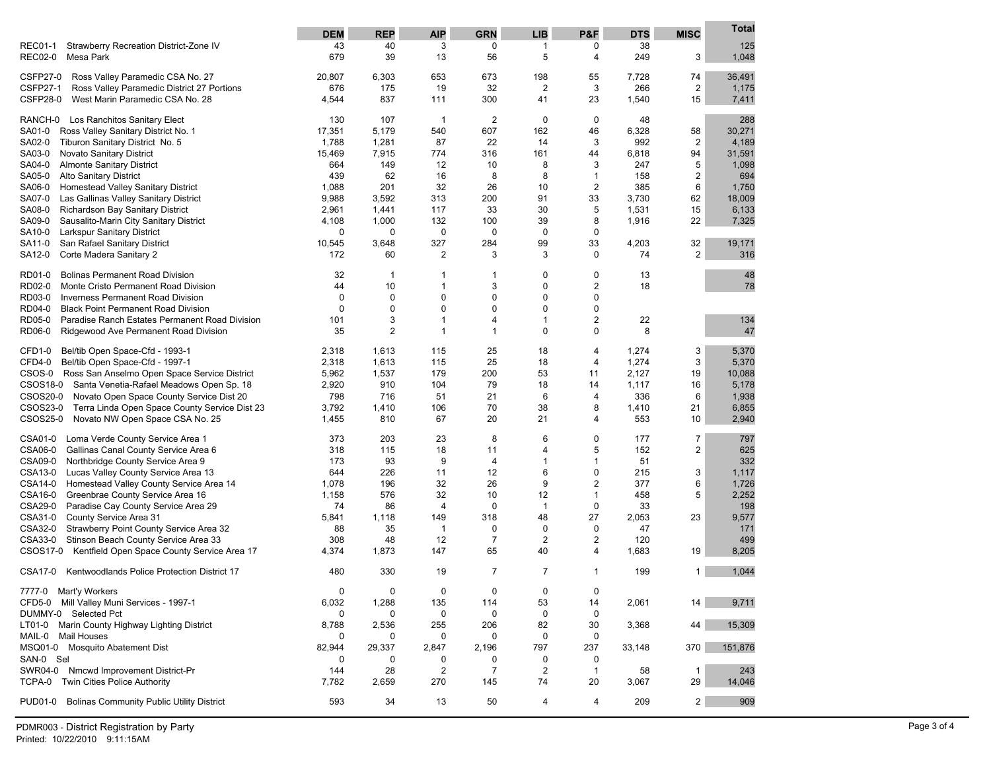|                                                                                               | <b>DEM</b>   | <b>REP</b>   | <b>AIP</b>     | <b>GRN</b>     | <b>LIB</b>              | P&F                            | <b>DTS</b> | <b>MISC</b>    | Total        |
|-----------------------------------------------------------------------------------------------|--------------|--------------|----------------|----------------|-------------------------|--------------------------------|------------|----------------|--------------|
| Strawberry Recreation District-Zone IV<br><b>REC01-1</b>                                      | 43           | 40           | 3              | 0              | 1                       | 0                              | 38         |                | 125          |
| <b>REC02-0</b><br>Mesa Park                                                                   | 679          | 39           | 13             | 56             | 5                       | 4                              | 249        | 3              | 1,048        |
| <b>CSFP27-0</b><br>Ross Valley Paramedic CSA No. 27                                           | 20,807       | 6,303        | 653            | 673            | 198                     | 55                             | 7,728      | 74             | 36,491       |
| <b>CSFP27-1</b><br>Ross Valley Paramedic District 27 Portions                                 | 676          | 175          | 19             | 32             | $\overline{\mathbf{c}}$ | 3                              | 266        | 2              | 1,175        |
| <b>CSFP28-0</b><br>West Marin Paramedic CSA No. 28                                            | 4,544        | 837          | 111            | 300            | 41                      | 23                             | 1,540      | 15             | 7,411        |
| RANCH-0 Los Ranchitos Sanitary Elect                                                          | 130          | 107          | $\overline{1}$ | $\overline{2}$ | 0                       | $\mathbf 0$                    | 48         |                | 288          |
| SA01-0<br>Ross Valley Sanitary District No. 1                                                 | 17,351       | 5,179        | 540            | 607            | 162                     | 46                             | 6,328      | 58             | 30,271       |
| Tiburon Sanitary District No. 5<br>SA02-0                                                     | 1,788        | 1,281        | 87             | 22             | 14                      | 3                              | 992        | 2              | 4,189        |
| SA03-0<br>Novato Sanitary District                                                            | 15,469       | 7,915        | 774            | 316            | 161                     | 44                             | 6,818      | 94             | 31,591       |
| SA04-0<br><b>Almonte Sanitary District</b><br><b>Alto Sanitary District</b>                   | 664          | 149          | 12             | 10             | 8<br>8                  | 3                              | 247        | 5              | 1,098        |
| SA05-0<br>SA06-0<br>Homestead Valley Sanitary District                                        | 439<br>1,088 | 62<br>201    | 16<br>32       | 8<br>26        | 10                      | $\mathbf{1}$<br>$\overline{2}$ | 158<br>385 | 2<br>6         | 694<br>1,750 |
| SA07-0<br>Las Gallinas Valley Sanitary District                                               | 9,988        | 3,592        | 313            | 200            | 91                      | 33                             | 3,730      | 62             | 18,009       |
| SA08-0<br>Richardson Bay Sanitary District                                                    | 2,961        | 1,441        | 117            | 33             | 30                      | 5                              | 1,531      | 15             | 6,133        |
| SA09-0<br>Sausalito-Marin City Sanitary District                                              | 4,108        | 1,000        | 132            | 100            | 39                      | 8                              | 1,916      | 22             | 7,325        |
| Larkspur Sanitary District<br>SA10-0                                                          | 0            | $\mathbf 0$  | 0              | 0              | 0                       | $\mathbf 0$                    |            |                |              |
| San Rafael Sanitary District<br>SA11-0                                                        | 10,545       | 3,648        | 327            | 284            | 99                      | 33                             | 4,203      | 32             | 19,171       |
| Corte Madera Sanitary 2<br>SA12-0                                                             | 172          | 60           | 2              | 3              | 3                       | 0                              | 74         | $\overline{2}$ | 316          |
| <b>Bolinas Permanent Road Division</b><br>RD01-0                                              | 32           | $\mathbf{1}$ | 1              | 1              | 0                       | $\mathbf 0$                    | 13         |                | 48           |
| RD02-0<br>Monte Cristo Permanent Road Division                                                | 44           | 10           | $\mathbf{1}$   | 3              | 0                       | $\overline{2}$                 | 18         |                | 78           |
| RD03-0<br><b>Inverness Permanent Road Division</b>                                            | 0            | $\mathbf 0$  | 0              | 0              | 0                       | $\mathbf 0$                    |            |                |              |
| <b>Black Point Permanent Road Division</b><br>RD04-0                                          | $\mathbf 0$  | $\mathbf 0$  | 0              | 0              | $\mathbf 0$             | $\mathbf 0$                    |            |                |              |
| RD05-0<br>Paradise Ranch Estates Permanent Road Division                                      | 101          | 3            | 1              | 4              | $\mathbf{1}$            | $\overline{2}$                 | 22         |                | 134          |
| RD06-0<br>Ridgewood Ave Permanent Road Division                                               | 35           | 2            | $\mathbf{1}$   | $\mathbf{1}$   | $\mathbf 0$             | $\mathbf 0$                    | 8          |                | 47           |
| Bel/tib Open Space-Cfd - 1993-1<br>CFD1-0                                                     | 2,318        | 1,613        | 115            | 25             | 18                      | $\overline{4}$                 | 1,274      | 3              | 5,370        |
| CFD4-0<br>Bel/tib Open Space-Cfd - 1997-1                                                     | 2,318        | 1,613        | 115            | 25             | 18                      | $\overline{4}$                 | 1,274      | 3              | 5,370        |
| CSOS-0 Ross San Anselmo Open Space Service District                                           | 5,962        | 1,537        | 179            | 200            | 53                      | 11                             | 2,127      | 19             | 10,088       |
| CSOS18-0 Santa Venetia-Rafael Meadows Open Sp. 18                                             | 2,920        | 910          | 104            | 79             | 18                      | 14                             | 1,117      | 16             | 5,178        |
| CSOS20-0<br>Novato Open Space County Service Dist 20                                          | 798          | 716          | 51             | 21             | 6                       | $\overline{4}$                 | 336        | 6              | 1,938        |
| CSOS23-0<br>Terra Linda Open Space County Service Dist 23                                     | 3,792        | 1,410        | 106            | 70             | 38                      | 8                              | 1,410      | 21             | 6,855        |
| CSOS25-0<br>Novato NW Open Space CSA No. 25                                                   | 1,455        | 810          | 67             | 20             | 21                      | $\overline{4}$                 | 553        | 10             | 2,940        |
| CSA01-0<br>Loma Verde County Service Area 1                                                   | 373          | 203          | 23             | 8              | 6                       | $\mathbf 0$                    | 177        | $\overline{7}$ | 797          |
| CSA06-0<br>Gallinas Canal County Service Area 6                                               | 318          | 115          | 18             | 11             | 4                       | 5                              | 152        | 2              | 625          |
| <b>CSA09-0</b><br>Northbridge County Service Area 9                                           | 173          | 93           | 9              | 4              | 1                       | $\mathbf{1}$                   | 51         |                | 332          |
| CSA13-0<br>Lucas Valley County Service Area 13                                                | 644          | 226          | 11             | 12             | 6                       | $\mathbf 0$                    | 215        | 3              | 1,117        |
| CSA14-0<br>Homestead Valley County Service Area 14                                            | 1,078        | 196          | 32             | 26             | 9                       | 2                              | 377        | 6<br>5         | 1,726        |
| CSA16-0<br>Greenbrae County Service Area 16<br>CSA29-0<br>Paradise Cay County Service Area 29 | 1,158<br>74  | 576<br>86    | 32<br>4        | 10<br>0        | 12<br>1                 | $\mathbf{1}$<br>$\mathbf 0$    | 458<br>33  |                | 2,252<br>198 |
| CSA31-0<br>County Service Area 31                                                             | 5,841        | 1,118        | 149            | 318            | 48                      | 27                             | 2,053      | 23             | 9,577        |
| CSA32-0<br>Strawberry Point County Service Area 32                                            | 88           | 35           | 1              | 0              | 0                       | $\mathbf 0$                    | 47         |                | 171          |
| CSA33-0<br>Stinson Beach County Service Area 33                                               | 308          | 48           | 12             | $\overline{7}$ | $\mathbf 2$             | 2                              | 120        |                | 499          |
| CSOS17-0<br>Kentfield Open Space County Service Area 17                                       | 4,374        | 1,873        | 147            | 65             | 40                      | 4                              | 1,683      | 19             | 8,205        |
| CSA17-0<br>Kentwoodlands Police Protection District 17                                        | 480          | 330          | 19             | $\overline{7}$ | $\overline{7}$          | 1                              | 199        | $\mathbf{1}$   | 1,044        |
| 7777-0 Mart'y Workers                                                                         | 0            | 0            | 0              | 0              | 0                       | 0                              |            |                |              |
| CFD5-0 Mill Valley Muni Services - 1997-1                                                     | 6,032        | 1,288        | 135            | 114            | 53                      | 14                             | 2,061      | 14             | 9,711        |
| DUMMY-0 Selected Pct                                                                          | 0            | 0            | 0              | 0              | 0                       | $\mathbf 0$                    |            |                |              |
| LT01-0 Marin County Highway Lighting District                                                 | 8,788        | 2,536        | 255            | 206            | 82                      | 30                             | 3,368      | 44             | 15,309       |
| <b>Mail Houses</b><br>MAIL-0                                                                  | 0            | 0            | 0              | 0              | 0                       | 0                              |            |                |              |
| MSQ01-0 Mosquito Abatement Dist                                                               | 82,944       | 29,337       | 2,847          | 2,196          | 797                     | 237                            | 33,148     | 370            | 151,876      |
| SAN-0 Sel                                                                                     | 0            | 0            | 0              | 0              | 0                       | 0                              |            |                |              |
| SWR04-0<br>Nmcwd Improvement District-Pr<br>Twin Cities Police Authority                      | 144          | 28           | $\overline{c}$ | 7              | $\overline{\mathbf{c}}$ | $\mathbf{1}$                   | 58         | $\mathbf{1}$   | 243          |
| TCPA-0                                                                                        | 7,782        | 2,659        | 270            | 145            | 74                      | 20                             | 3,067      | 29             | 14,046       |
| <b>Bolinas Community Public Utility District</b><br><b>PUD01-0</b>                            | 593          | 34           | 13             | 50             | 4                       | 4                              | 209        | $\overline{c}$ | 909          |